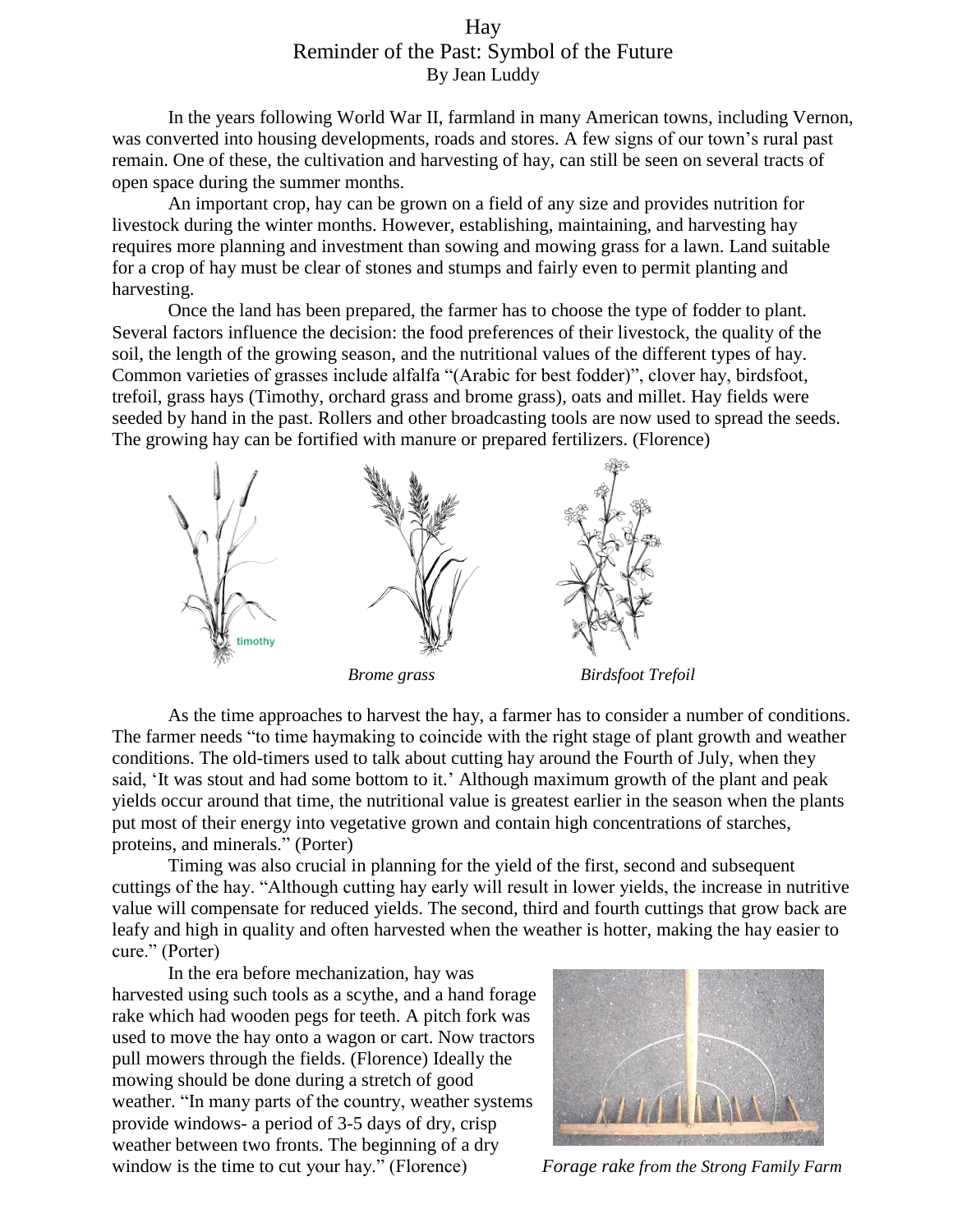## Hay Reminder of the Past: Symbol of the Future By Jean Luddy

In the years following World War II, farmland in many American towns, including Vernon, was converted into housing developments, roads and stores. A few signs of our town's rural past remain. One of these, the cultivation and harvesting of hay, can still be seen on several tracts of open space during the summer months.

An important crop, hay can be grown on a field of any size and provides nutrition for livestock during the winter months. However, establishing, maintaining, and harvesting hay requires more planning and investment than sowing and mowing grass for a lawn. Land suitable for a crop of hay must be clear of stones and stumps and fairly even to permit planting and harvesting.

Once the land has been prepared, the farmer has to choose the type of fodder to plant. Several factors influence the decision: the food preferences of their livestock, the quality of the soil, the length of the growing season, and the nutritional values of the different types of hay. Common varieties of grasses include alfalfa "(Arabic for best fodder)", clover hay, birdsfoot, trefoil, grass hays (Timothy, orchard grass and brome grass), oats and millet. Hay fields were seeded by hand in the past. Rollers and other broadcasting tools are now used to spread the seeds. The growing hay can be fortified with manure or prepared fertilizers. (Florence)



As the time approaches to harvest the hay, a farmer has to consider a number of conditions. The farmer needs "to time haymaking to coincide with the right stage of plant growth and weather conditions. The old-timers used to talk about cutting hay around the Fourth of July, when they said, 'It was stout and had some bottom to it.' Although maximum growth of the plant and peak yields occur around that time, the nutritional value is greatest earlier in the season when the plants put most of their energy into vegetative grown and contain high concentrations of starches, proteins, and minerals." (Porter)

Timing was also crucial in planning for the yield of the first, second and subsequent cuttings of the hay. "Although cutting hay early will result in lower yields, the increase in nutritive value will compensate for reduced yields. The second, third and fourth cuttings that grow back are leafy and high in quality and often harvested when the weather is hotter, making the hay easier to cure." (Porter)

In the era before mechanization, hay was harvested using such tools as a scythe, and a hand forage rake which had wooden pegs for teeth. A pitch fork was used to move the hay onto a wagon or cart. Now tractors pull mowers through the fields. (Florence) Ideally the mowing should be done during a stretch of good weather. "In many parts of the country, weather systems provide windows- a period of 3-5 days of dry, crisp weather between two fronts. The beginning of a dry window is the time to cut your hay." (Florence) *Forage rake from the Strong Family Farm*

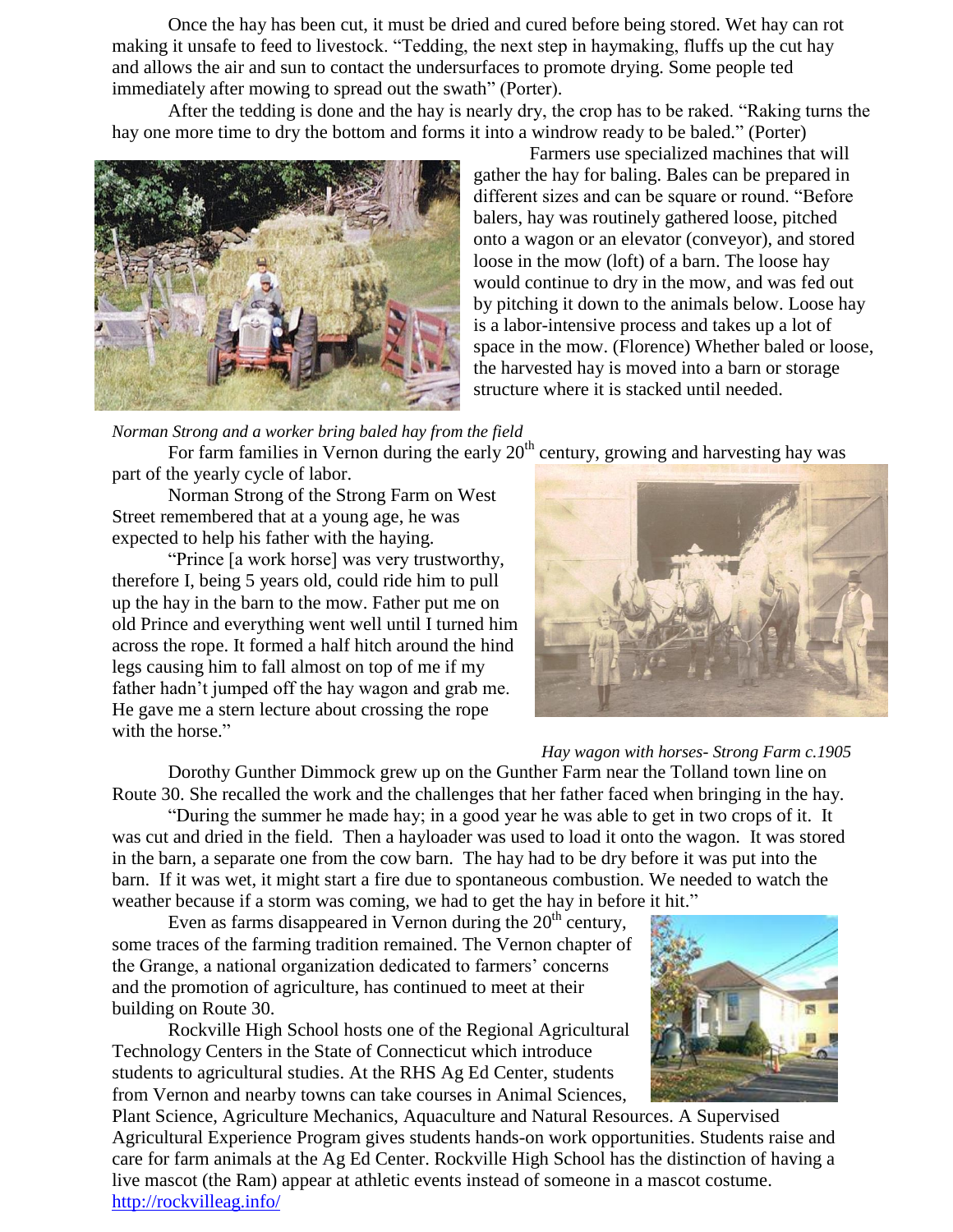Once the hay has been cut, it must be dried and cured before being stored. Wet hay can rot making it unsafe to feed to livestock. "Tedding, the next step in haymaking, fluffs up the cut hay and allows the air and sun to contact the undersurfaces to promote drying. Some people ted immediately after mowing to spread out the swath" (Porter).

After the tedding is done and the hay is nearly dry, the crop has to be raked. "Raking turns the hay one more time to dry the bottom and forms it into a windrow ready to be baled." (Porter)



Farmers use specialized machines that will gather the hay for baling. Bales can be prepared in different sizes and can be square or round. "Before balers, hay was routinely gathered loose, pitched onto a wagon or an elevator (conveyor), and stored loose in the mow (loft) of a barn. The loose hay would continue to dry in the mow, and was fed out by pitching it down to the animals below. Loose hay is a labor-intensive process and takes up a lot of space in the mow. (Florence) Whether baled or loose, the harvested hay is moved into a barn or storage structure where it is stacked until needed.

*Norman Strong and a worker bring baled hay from the field*

For farm families in Vernon during the early  $20<sup>th</sup>$  century, growing and harvesting hay was part of the yearly cycle of labor.

Norman Strong of the Strong Farm on West Street remembered that at a young age, he was expected to help his father with the haying.

"Prince [a work horse] was very trustworthy, therefore I, being 5 years old, could ride him to pull up the hay in the barn to the mow. Father put me on old Prince and everything went well until I turned him across the rope. It formed a half hitch around the hind legs causing him to fall almost on top of me if my father hadn't jumped off the hay wagon and grab me. He gave me a stern lecture about crossing the rope with the horse."



*Hay wagon with horses- Strong Farm c.1905*

Dorothy Gunther Dimmock grew up on the Gunther Farm near the Tolland town line on Route 30. She recalled the work and the challenges that her father faced when bringing in the hay.

"During the summer he made hay; in a good year he was able to get in two crops of it. It was cut and dried in the field. Then a hayloader was used to load it onto the wagon. It was stored in the barn, a separate one from the cow barn. The hay had to be dry before it was put into the barn. If it was wet, it might start a fire due to spontaneous combustion. We needed to watch the weather because if a storm was coming, we had to get the hay in before it hit."

Even as farms disappeared in Vernon during the  $20<sup>th</sup>$  century, some traces of the farming tradition remained. The Vernon chapter of the Grange, a national organization dedicated to farmers' concerns and the promotion of agriculture, has continued to meet at their building on Route 30.

Rockville High School hosts one of the Regional Agricultural Technology Centers in the State of Connecticut which introduce students to agricultural studies. At the RHS Ag Ed Center, students from Vernon and nearby towns can take courses in Animal Sciences,



Plant Science, Agriculture Mechanics, Aquaculture and Natural Resources. A Supervised Agricultural Experience Program gives students hands-on work opportunities. Students raise and care for farm animals at the Ag Ed Center. Rockville High School has the distinction of having a live mascot (the Ram) appear at athletic events instead of someone in a mascot costume. <http://rockvilleag.info/>